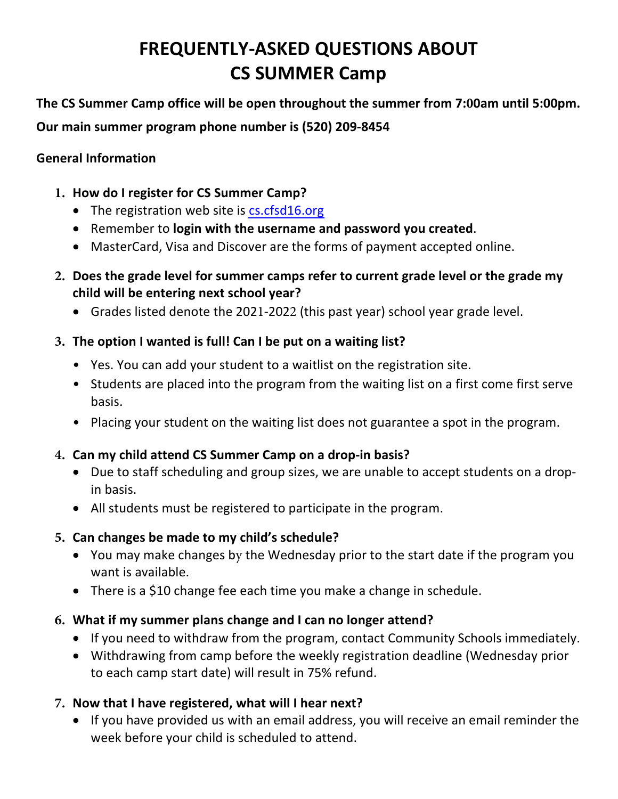# **FREQUENTLY-ASKED QUESTIONS ABOUT CS SUMMER Camp**

**The CS Summer Camp office will be open throughout the summer from 7:00am until 5:00pm. Our main summer program phone number is (520) 209-8454**

#### **General Information**

- **1. How do I register for CS Summer Camp?**
	- The registration web site is cs.cfsd16.org
	- Remember to **login with the username and password you created**.
	- MasterCard, Visa and Discover are the forms of payment accepted online.
- **2. Does the grade level for summer camps refer to current grade level or the grade my child will be entering next school year?**
	- Grades listed denote the 2021-2022 (this past year) school year grade level.
- **3. The option I wanted is full! Can I be put on a waiting list?**
	- Yes. You can add your student to a waitlist on the registration site.
	- Students are placed into the program from the waiting list on a first come first serve basis.
	- Placing your student on the waiting list does not guarantee a spot in the program.

### **4. Can my child attend CS Summer Camp on a drop-in basis?**

- Due to staff scheduling and group sizes, we are unable to accept students on a dropin basis.
- All students must be registered to participate in the program.

### **5. Can changes be made to my child's schedule?**

- You may make changes by the Wednesday prior to the start date if the program you want is available.
- There is a \$10 change fee each time you make a change in schedule.
- **6. What if my summer plans change and I can no longer attend?**
	- If you need to withdraw from the program, contact Community Schools immediately.
	- Withdrawing from camp before the weekly registration deadline (Wednesday prior to each camp start date) will result in 75% refund.
- **7. Now that I have registered, what will I hear next?**
	- If you have provided us with an email address, you will receive an email reminder the week before your child is scheduled to attend.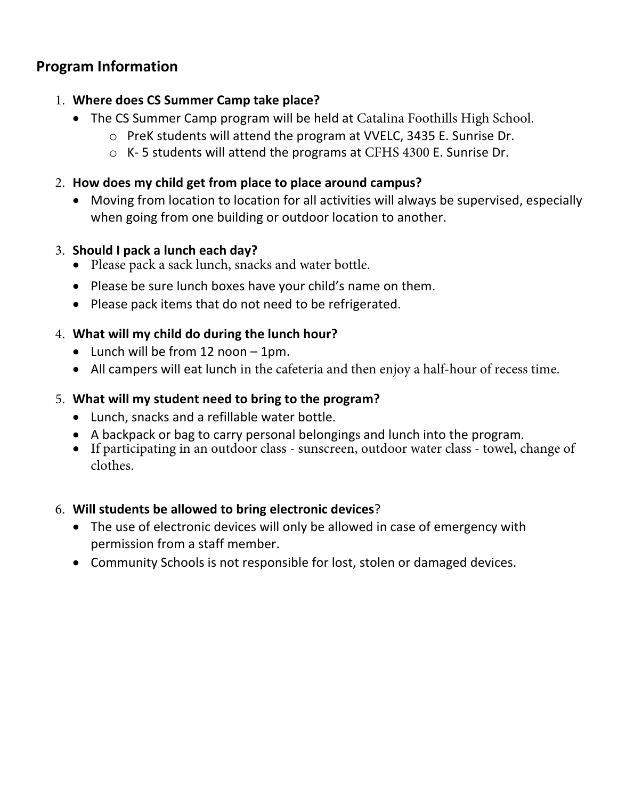# **Program Information**

### 1. **Where does CS Summer Camp take place?**

- The CS Summer Camp program will be held at Catalina Foothills High School.
	- o PreK students will attend the program at VVELC, 3435 E. Sunrise Dr.
	- $\circ$  K-5 students will attend the programs at CFHS 4300 E. Sunrise Dr.
- 2. **How does my child get from place to place around campus?**
	- Moving from location to location for all activities will always be supervised, especially when going from one building or outdoor location to another.

### 3. **Should I pack a lunch each day?**

- Please pack a sack lunch, snacks and water bottle.
- Please be sure lunch boxes have your child's name on them.
- Please pack items that do not need to be refrigerated.

### 4. **What will my child do during the lunch hour?**

- Lunch will be from 12 noon 1pm.
- All campers will eat lunch in the cafeteria and then enjoy a half-hour of recess time.

### 5. **What will my student need to bring to the program?**

- Lunch, snacks and a refillable water bottle.
- A backpack or bag to carry personal belongings and lunch into the program.
- If participating in an outdoor class sunscreen, outdoor water class towel, change of clothes.

### 6. **Will students be allowed to bring electronic devices**?

- The use of electronic devices will only be allowed in case of emergency with permission from a staff member.
- Community Schools is not responsible for lost, stolen or damaged devices.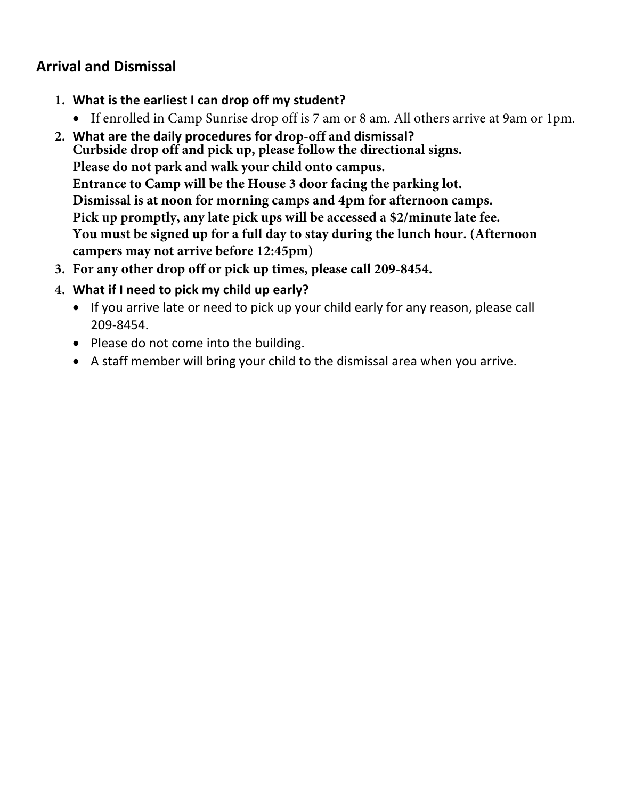# **Arrival and Dismissal**

- **1. What is the earliest I can drop off my student?**
	- If enrolled in Camp Sunrise drop off is 7 am or 8 am. All others arrive at 9am or 1pm.
- **2. What are the daily procedures for drop-off and dismissal? Curbside drop off and pick up, please follow the directional signs. Please do not park and walk your child onto campus. Entrance to Camp will be the House 3 door facing the parking lot. Dismissal is at noon for morning camps and 4pm for afternoon camps. Pick up promptly, any late pick ups will be accessed a \$2/minute late fee. You must be signed up for a full day to stay during the lunch hour. (Afternoon campers may not arrive before 12:45pm)**
- **3. For any other drop off or pick up times, please call 209-8454.**
- **4. What if I need to pick my child up early?**
	- If you arrive late or need to pick up your child early for any reason, please call 209-8454.
	- Please do not come into the building.
	- A staff member will bring your child to the dismissal area when you arrive.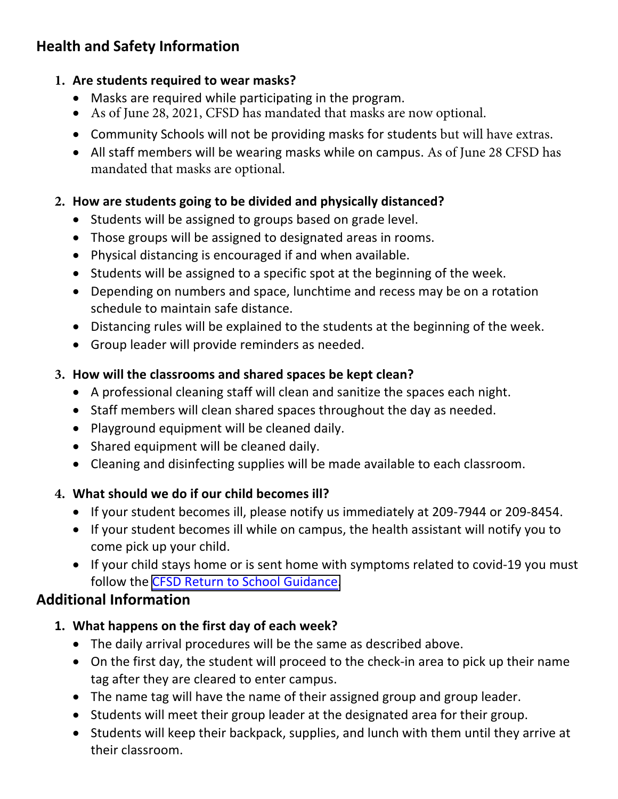# **Health and Safety Information**

### **1. Are students required to wear masks?**

- Masks are required while participating in the program.
- As of June 28, 2021, CFSD has mandated that masks are now optional.
- Community Schools will not be providing masks for students but will have extras.
- All staff members will be wearing masks while on campus. As of June 28 CFSD has mandated that masks are optional.

### **2. How are students going to be divided and physically distanced?**

- Students will be assigned to groups based on grade level.
- Those groups will be assigned to designated areas in rooms.
- Physical distancing is encouraged if and when available.
- Students will be assigned to a specific spot at the beginning of the week.
- Depending on numbers and space, lunchtime and recess may be on a rotation schedule to maintain safe distance.
- Distancing rules will be explained to the students at the beginning of the week.
- Group leader will provide reminders as needed.

## **3. How will the classrooms and shared spaces be kept clean?**

- A professional cleaning staff will clean and sanitize the spaces each night.
- Staff members will clean shared spaces throughout the day as needed.
- Playground equipment will be cleaned daily.
- Shared equipment will be cleaned daily.
- Cleaning and disinfecting supplies will be made available to each classroom.

# **4. What should we do if our child becomes ill?**

- If your student becomes ill, please notify us immediately at 209-7944 or 209-8454.
- If your student becomes ill while on campus, the health assistant will notify you to come pick up your child.
- If your child stays home or is sent home with symptoms related to covid-19 you must follow the CFSD [Return to School Guidance.](https://www.cfsd16.org/application/files/7016/2454/7904/2021-2022_COVID-19_Isolation_Decision_Matrix.pdf)

# **Additional Information**

- **1. What happens on the first day of each week?**
	- The daily arrival procedures will be the same as described above.
	- On the first day, the student will proceed to the check-in area to pick up their name tag after they are cleared to enter campus.
	- The name tag will have the name of their assigned group and group leader.
	- Students will meet their group leader at the designated area for their group.
	- Students will keep their backpack, supplies, and lunch with them until they arrive at their classroom.